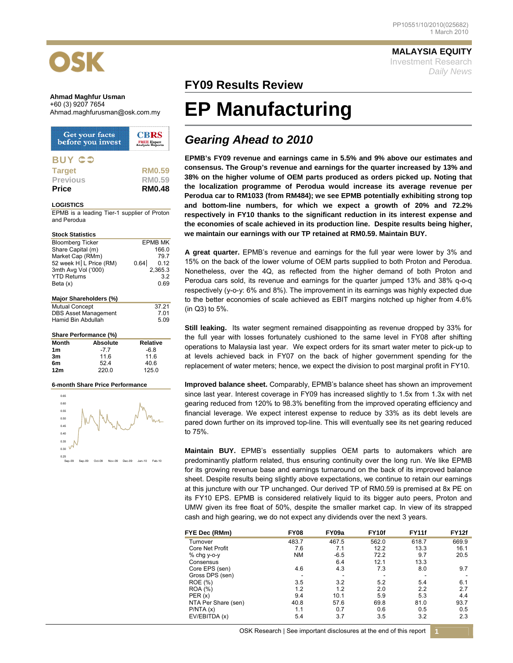

### **Ahmad Maghfur Usman**  +60 (3) 9207 7654

| Get your facts<br>before you invest | <b>CBRS</b><br><b>FREE Expert</b><br>Analysis Reports |
|-------------------------------------|-------------------------------------------------------|
| <b>BUY CO</b>                       |                                                       |
| <b>Target</b>                       | <b>RM0.59</b>                                         |
| <b>Previous</b>                     | <b>RM0.59</b>                                         |
| <b>Price</b>                        | <b>RM0.48</b>                                         |

#### **LOGISTICS**

EPMB is a leading Tier-1 supplier of Proton and Perodua

| <b>Stock Statistics</b> |                              |                |  |  |  |  |
|-------------------------|------------------------------|----------------|--|--|--|--|
| <b>Bloomberg Ticker</b> |                              | <b>EPMB MK</b> |  |  |  |  |
| Share Capital (m)       |                              | 166.0          |  |  |  |  |
| Market Cap (RMm)        |                              | 79.7           |  |  |  |  |
|                         | 52 week H L Price (RM)       | 0.64<br>0.12   |  |  |  |  |
| 3mth Avg Vol ('000)     |                              | 2,365.3        |  |  |  |  |
| <b>YTD Returns</b>      |                              | 3.2            |  |  |  |  |
| Beta (x)                |                              | 0.69           |  |  |  |  |
|                         |                              |                |  |  |  |  |
|                         | Major Shareholders (%)       |                |  |  |  |  |
| <b>Mutual Concept</b>   |                              | 37.21          |  |  |  |  |
|                         | <b>DBS Asset Management</b>  | 7.01           |  |  |  |  |
| Hamid Bin Abdullah      |                              | 5.09           |  |  |  |  |
|                         |                              |                |  |  |  |  |
|                         | <b>Share Performance (%)</b> |                |  |  |  |  |
| Month                   | <b>Absolute</b>              | Relative       |  |  |  |  |
| 1m                      | $-7.7$                       | $-6.8$         |  |  |  |  |
| 3m                      | 11.6                         | 11.6           |  |  |  |  |
| 6m                      | 52.4                         | 40.6           |  |  |  |  |
| 12m                     | 220.0                        | 125.0          |  |  |  |  |

### **6-month Share Price Performance**



**MALAYSIA EQUITY**

Investment Research *Daily News*

### **FY09 Results Review**

# **EP Manufacturing**

## *Gearing Ahead to 2010*

**EPMB's FY09 revenue and earnings came in 5.5% and 9% above our estimates and consensus. The Group's revenue and earnings for the quarter increased by 13% and 38% on the higher volume of OEM parts produced as orders picked up. Noting that the localization programme of Perodua would increase its average revenue per Perodua car to RM1033 (from RM484); we see EPMB potentially exhibiting strong top and bottom-line numbers, for which we expect a growth of 20% and 72.2% respectively in FY10 thanks to the significant reduction in its interest expense and the economies of scale achieved in its production line. Despite results being higher, we maintain our earnings with our TP retained at RM0.59. Maintain BUY.** 

**A great quarter.** EPMB's revenue and earnings for the full year were lower by 3% and 15% on the back of the lower volume of OEM parts supplied to both Proton and Perodua. Nonetheless, over the 4Q, as reflected from the higher demand of both Proton and Perodua cars sold, its revenue and earnings for the quarter jumped 13% and 38% q-o-q respectively (y-o-y: 6% and 8%). The improvement in its earnings was highly expected due to the better economies of scale achieved as EBIT margins notched up higher from 4.6% (in Q3) to 5%.

**Still leaking.** Its water segment remained disappointing as revenue dropped by 33% for the full year with losses fortunately cushioned to the same level in FY08 after shifting operations to Malaysia last year. We expect orders for its smart water meter to pick-up to at levels achieved back in FY07 on the back of higher government spending for the replacement of water meters; hence, we expect the division to post marginal profit in FY10.

**Improved balance sheet.** Comparably, EPMB's balance sheet has shown an improvement since last year. Interest coverage in FY09 has increased slightly to 1.5x from 1.3x with net gearing reduced from 120% to 98.3% benefiting from the improved operating efficiency and financial leverage. We expect interest expense to reduce by 33% as its debt levels are pared down further on its improved top-line. This will eventually see its net gearing reduced to 75%.

**Maintain BUY.** EPMB's essentially supplies OEM parts to automakers which are predominantly platform related, thus ensuring continuity over the long run. We like EPMB for its growing revenue base and earnings turnaround on the back of its improved balance sheet. Despite results being slightly above expectations, we continue to retain our earnings at this juncture with our TP unchanged. Our derived TP of RM0.59 is premised at 8x PE on its FY10 EPS. EPMB is considered relatively liquid to its bigger auto peers, Proton and UMW given its free float of 50%, despite the smaller market cap. In view of its strapped cash and high gearing, we do not expect any dividends over the next 3 years.

| FYE Dec (RMm)          | <b>FY08</b> | FY09a  | FY <sub>10f</sub> | <b>FY11f</b> | <b>FY12f</b> |
|------------------------|-------------|--------|-------------------|--------------|--------------|
| Turnover               | 483.7       | 467.5  | 562.0             | 618.7        | 669.9        |
| <b>Core Net Profit</b> | 7.6         | 7.1    | 12.2              | 13.3         | 16.1         |
| % chg y-o-y            | <b>NM</b>   | $-6.5$ | 72.2              | 9.7          | 20.5         |
| Consensus              |             | 6.4    | 12.1              | 13.3         |              |
| Core EPS (sen)         | 4.6         | 4.3    | 7.3               | 8.0          | 9.7          |
| Gross DPS (sen)        | ۰           | -      |                   |              |              |
| ROE (%)                | 3.5         | 3.2    | 5.2               | 5.4          | 6.1          |
| <b>ROA</b> (%)         | 1.2         | 1.2    | 2.0               | 2.2          | 2.7          |
| PER(x)                 | 9.4         | 10.1   | 5.9               | 5.3          | 4.4          |
| NTA Per Share (sen)    | 40.8        | 57.6   | 69.8              | 81.0         | 93.7         |
| P/NTA(x)               | 1.1         | 0.7    | 0.6               | 0.5          | 0.5          |
| EV/EBITDA (x)          | 5.4         | 3.7    | 3.5               | 3.2          | 2.3          |

OSK Research | See important disclosures at the end of this report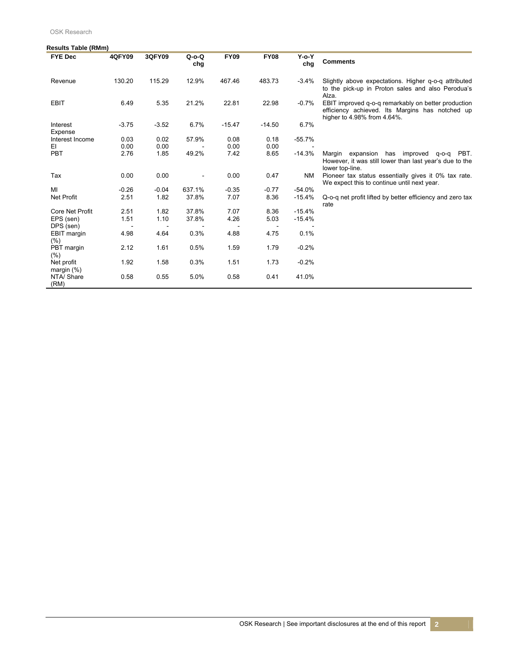OSK Research

| <b>Results Table (RMm)</b>  |                          |         |                          |             |                          |                    |                                                                                                                                       |
|-----------------------------|--------------------------|---------|--------------------------|-------------|--------------------------|--------------------|---------------------------------------------------------------------------------------------------------------------------------------|
| <b>FYE Dec</b>              | <b>4QFY09</b>            | 3QFY09  | $Q$ -o- $Q$<br>chg       | <b>FY09</b> | <b>FY08</b>              | $Y$ -o- $Y$<br>chg | <b>Comments</b>                                                                                                                       |
| Revenue                     | 130.20                   | 115.29  | 12.9%                    | 467.46      | 483.73                   | $-3.4%$            | Slightly above expectations. Higher q-o-q attributed<br>to the pick-up in Proton sales and also Perodua's<br>Alza.                    |
| <b>EBIT</b>                 | 6.49                     | 5.35    | 21.2%                    | 22.81       | 22.98                    | $-0.7%$            | EBIT improved q-o-q remarkably on better production<br>efficiency achieved. Its Margins has notched up<br>higher to 4.98% from 4.64%. |
| Interest<br>Expense         | $-3.75$                  | $-3.52$ | 6.7%                     | $-15.47$    | $-14.50$                 | 6.7%               |                                                                                                                                       |
| Interest Income             | 0.03                     | 0.02    | 57.9%                    | 0.08        | 0.18                     | $-55.7%$           |                                                                                                                                       |
| EI                          | 0.00                     | 0.00    |                          | 0.00        | 0.00                     |                    |                                                                                                                                       |
| PBT                         | 2.76                     | 1.85    | 49.2%                    | 7.42        | 8.65                     | $-14.3%$           | Margin expansion has improved q-o-q PBT.<br>However, it was still lower than last year's due to the<br>lower top-line.                |
| Tax                         | 0.00                     | 0.00    | $\overline{\phantom{a}}$ | 0.00        | 0.47                     | <b>NM</b>          | Pioneer tax status essentially gives it 0% tax rate.<br>We expect this to continue until next year.                                   |
| MI                          | $-0.26$                  | $-0.04$ | 637.1%                   | $-0.35$     | $-0.77$                  | $-54.0%$           |                                                                                                                                       |
| Net Profit                  | 2.51                     | 1.82    | 37.8%                    | 7.07        | 8.36                     | $-15.4%$           | Q-o-q net profit lifted by better efficiency and zero tax<br>rate                                                                     |
| <b>Core Net Profit</b>      | 2.51                     | 1.82    | 37.8%                    | 7.07        | 8.36                     | $-15.4%$           |                                                                                                                                       |
| EPS (sen)                   | 1.51                     | 1.10    | 37.8%                    | 4.26        | 5.03                     | $-15.4%$           |                                                                                                                                       |
| DPS (sen)                   | $\overline{\phantom{a}}$ |         |                          |             | $\overline{\phantom{a}}$ |                    |                                                                                                                                       |
| EBIT margin<br>(%)          | 4.98                     | 4.64    | 0.3%                     | 4.88        | 4.75                     | 0.1%               |                                                                                                                                       |
| PBT margin<br>(%)           | 2.12                     | 1.61    | 0.5%                     | 1.59        | 1.79                     | $-0.2%$            |                                                                                                                                       |
| Net profit<br>margin $(\%)$ | 1.92                     | 1.58    | 0.3%                     | 1.51        | 1.73                     | $-0.2%$            |                                                                                                                                       |
| NTA/ Share<br>(RM)          | 0.58                     | 0.55    | 5.0%                     | 0.58        | 0.41                     | 41.0%              |                                                                                                                                       |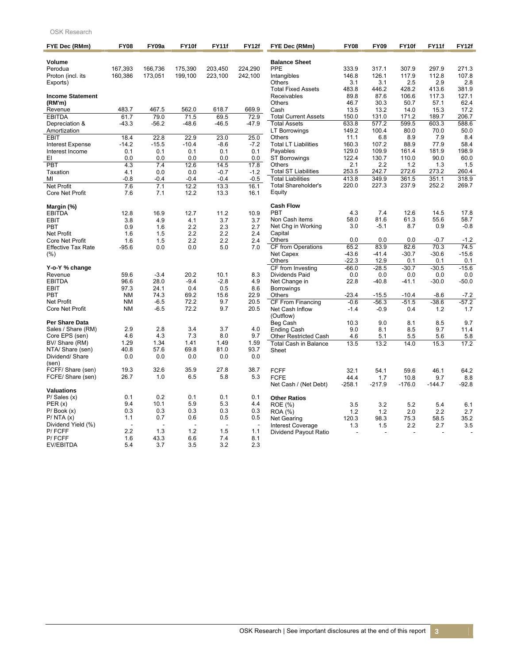### OSK Research

| FYE Dec (RMm)                        | <b>FY08</b>    | FY09a      | FY10f      | FY11f      | FY12f                    | FYE Dec (RMm)                | <b>FY08</b> | <b>FY09</b>        | FY10f    | <b>FY11f</b> | <b>FY12f</b> |
|--------------------------------------|----------------|------------|------------|------------|--------------------------|------------------------------|-------------|--------------------|----------|--------------|--------------|
| Volume                               |                |            |            |            |                          | <b>Balance Sheet</b>         |             |                    |          |              |              |
| Perodua                              | 167,393        | 166,736    | 175,390    | 203,450    | 224,290                  | PPE                          | 333.9       | 317.1              | 307.9    | 297.9        | 271.3        |
| Proton (incl. its                    | 160,386        | 173,051    | 199,100    | 223,100    | 242,100                  | Intangibles                  | 146.8       | 126.1              | 117.9    | 112.8        | 107.8        |
| Exports)                             |                |            |            |            |                          | <b>Others</b>                | 3.1         | 3.1                | 2.5      | 2.9          | 2.8          |
|                                      |                |            |            |            |                          | <b>Total Fixed Assets</b>    | 483.8       | 446.2              | 428.2    | 413.6        | 381.9        |
| <b>Income Statement</b>              |                |            |            |            |                          | Receivables                  | 89.8        | 87.6               | 106.6    | 117.3        | 127.1        |
| (RM'm)                               |                |            |            |            |                          | <b>Others</b>                | 46.7        | 30.3               | 50.7     | 57.1         | 62.4         |
| Revenue                              | 483.7          | 467.5      | 562.0      | 618.7      | 669.9                    | Cash                         | 13.5        | 13.2               | 14.0     | 15.3         | 17.2         |
| <b>EBITDA</b>                        | 61.7           | 79.0       | 71.5       | 69.5       | 72.9                     | <b>Total Current Assets</b>  | 150.0       | 131.0              | 171.2    | 189.7        | 206.7        |
| Depreciation &                       | $-43.3$        | $-56.2$    | $-48.6$    | $-46.5$    | $-47.9$                  | <b>Total Assets</b>          | 633.8       | 577.2              | 599.5    | 603.3        | 588.6        |
| Amortization                         |                |            |            |            |                          | <b>LT Borrowings</b>         | 149.2       | 100.4              | 80.0     | 70.0         | 50.0         |
| EBIT                                 | 18.4           | 22.8       | 22.9       | 23.0       | 25.0                     | <b>Others</b>                | 11.1        | 6.8                | 8.9      | 7.9          | 8.4          |
| <b>Interest Expense</b>              | $-14.2$        | $-15.5$    | $-10.4$    | $-8.6$     | $-7.2$                   | <b>Total LT Liabilities</b>  | 160.3       | 107.2              | 88.9     | 77.9         | 58.4         |
| Interest Income                      | 0.1            | 0.1        | 0.1        | 0.1        | 0.1                      | Payables                     | 129.0       | 109.9              | 161.4    | 181.9        | 198.9        |
| EI                                   | 0.0            | 0.0        | 0.0        | 0.0        | 0.0                      | <b>ST Borrowings</b>         | 122.4       | 130.7              | 110.0    | 90.0         | 60.0         |
| PBT                                  | 4.3            | 7.4        | 12.6       | 14.5       | 17.8                     | Others                       | 2.1         | 2.2                | $1.2$    | 1.3          | 1.5          |
| Taxation                             | 4.1            | 0.0        | 0.0        | $-0.7$     | $-1.2$                   | <b>Total ST Liabilities</b>  | 253.5       | 242.7              | 272.6    | 273.2        | 260.4        |
| MI                                   | $-0.8$         | $-0.4$     | $-0.4$     | $-0.4$     | $-0.5$                   | <b>Total Liabilities</b>     | 413.8       | 349.9              | 361.5    | 351.1        | 318.9        |
| <b>Net Profit</b>                    | 7.6            | 7.1        | 12.2       | 13.3       | 16.1                     | <b>Total Shareholder's</b>   | 220.0       | 227.3              | 237.9    | 252.2        | 269.7        |
| Core Net Profit                      | 7.6            | 7.1        | 12.2       | 13.3       | 16.1                     | Equity                       |             |                    |          |              |              |
| Margin (%)                           |                |            |            |            |                          | <b>Cash Flow</b>             |             |                    |          |              |              |
| <b>EBITDA</b>                        | 12.8           | 16.9       | 12.7       | 11.2       | 10.9                     | <b>PBT</b>                   | 4.3         | 7.4                | 12.6     | 14.5         | 17.8         |
| <b>EBIT</b>                          | 3.8            | 4.9        | 4.1        | 3.7        | 3.7                      | Non Cash items               | 58.0        | 81.6               | 61.3     | 55.6         | 58.7         |
| <b>PBT</b>                           | 0.9            | 1.6        | 2.2        | 2.3        | 2.7                      | Net Chg in Working           | 3.0         | $-5.1$             | 8.7      | 0.9          | $-0.8$       |
| <b>Net Profit</b>                    | 1.6            | 1.5        | 2.2        | 2.2        | 2.4                      | Capital                      |             |                    |          |              |              |
| Core Net Profit                      | 1.6            | 1.5        | 2.2        | 2.2        | 2.4                      | Others                       | 0.0         | 0.0                | 0.0      | $-0.7$       | $-1.2$       |
| <b>Effective Tax Rate</b>            | $-95.6$        | 0.0        | 0.0        | 5.0        | 7.0                      | CF from Operations           | 65.2        | 83.9               | 82.6     | 70.3         | 74.5         |
| (%)                                  |                |            |            |            |                          | Net Capex                    | $-43.6$     | $-41.4$            | $-30.7$  | $-30.6$      | $-15.6$      |
|                                      |                |            |            |            |                          | <b>Others</b>                | $-22.3$     | 12.9               | 0.1      | 0.1          | 0.1          |
| Y-o-Y % change                       |                |            |            |            |                          | CF from Investing            | $-66.0$     | $-28.\overline{5}$ | $-30.7$  | $-30.5$      | $-15.6$      |
| Revenue                              | 59.6           | $-3.4$     | 20.2       | 10.1       | 8.3                      | Dividends Paid               | 0.0         | 0.0                | 0.0      | 0.0          | 0.0          |
| <b>EBITDA</b>                        | 96.6           | 28.0       | $-9.4$     | $-2.8$     | 4.9                      | Net Change in                | 22.8        | $-40.8$            | $-41.1$  | $-30.0$      | $-50.0$      |
| <b>EBIT</b>                          | 97.3           | 24.1       | 0.4        | 0.5        | 8.6                      | <b>Borrowings</b>            |             |                    |          |              |              |
| <b>PBT</b>                           | <b>NM</b>      | 74.3       | 69.2       | 15.6       | 22.9                     | Others                       | $-23.4$     | $-15.5$            | $-10.4$  | $-8.6$       | $-7.2$       |
| <b>Net Profit</b>                    | <b>NM</b>      | $-6.5$     | 72.2       | 9.7        | 20.5                     | CF From Financing            | $-0.6$      | $-56.3$            | $-51.5$  | $-38.6$      | $-57.2$      |
| <b>Core Net Profit</b>               | <b>NM</b>      | $-6.5$     | 72.2       | 9.7        | 20.5                     | Net Cash Inflow<br>(Outflow) | $-1.4$      | $-0.9$             | 0.4      | 1.2          | 1.7          |
| Per Share Data                       |                |            |            |            |                          | Beg Cash                     | 10.3        | 9.0                | 8.1      | 8.5          | 9.7          |
| Sales / Share (RM)                   | 2.9            | 2.8        | 3.4        | 3.7        | 4.0                      | <b>Ending Cash</b>           | 9.0         | 8.1                | 8.5      | 9.7          | 11.4         |
| Core EPS (sen)                       | 4.6            | 4.3        | 7.3        | 8.0        | 9.7                      | Other Restricted Cash        | 4.6         | 5.1                | 5.5      | 5.6          | 5.8          |
| BV/ Share (RM)                       | 1.29           | 1.34       | 1.41       | 1.49       | 1.59                     | <b>Total Cash in Balance</b> | 13.5        | 13.2               | 14.0     | 15.3         | 17.2         |
| NTA/ Share (sen)                     | 40.8           | 57.6       | 69.8       | 81.0       | 93.7                     | Sheet                        |             |                    |          |              |              |
| Dividend/Share                       | 0.0            | 0.0        | 0.0        | 0.0        | 0.0                      |                              |             |                    |          |              |              |
| (sen)                                |                |            |            |            |                          |                              |             |                    |          |              |              |
| FCFF/ Share (sen)                    | 19.3           | 32.6       | 35.9       | 27.8       | 38.7                     | <b>FCFF</b>                  | 32.1        | 54.1               | 59.6     | 46.1         | 64.2         |
| FCFE/ Share (sen)                    | 26.7           | 1.0        | 6.5        | 5.8        | 5.3                      | <b>FCFE</b>                  | 44.4        | 1.7                | 10.8     | 9.7          | 8.8          |
|                                      |                |            |            |            |                          | Net Cash / (Net Debt)        | $-258.1$    | $-217.9$           | $-176.0$ | $-144.7$     | $-92.8$      |
| <b>Valuations</b>                    |                |            |            |            |                          |                              |             |                    |          |              |              |
| $P/$ Sales $(x)$                     | 0.1            | 0.2        | 0.1        | 0.1        | 0.1                      | <b>Other Ratios</b>          |             |                    |          |              |              |
| PER(x)                               | 9.4            | 10.1       | 5.9        | 5.3        | 4.4                      | ROE (%)                      | 3.5         | 3.2                | 5.2      | 5.4          | 6.1          |
| $P/$ Book $(x)$                      | 0.3<br>1.1     | 0.3<br>0.7 | 0.3<br>0.6 | 0.3<br>0.5 | 0.3<br>0.5               | ROA (%)                      | 1.2         | 1.2                | 2.0      | 2.2          | 2.7          |
| $P/$ NTA $(x)$<br>Dividend Yield (%) | $\overline{a}$ | ÷          |            | ÷.         | $\overline{\phantom{a}}$ | Net Gearing                  | 120.3       | 98.3               | 75.3     | 58.5         | 35.2         |
| P/FCFF                               | 2.2            | 1.3        | 1.2        | 1.5        | 1.1                      | <b>Interest Coverage</b>     | 1.3         | 1.5                | 2.2      | 2.7          | 3.5          |
| P/FCFF                               | 1.6            | 43.3       | 6.6        | 7.4        | 8.1                      | Dividend Payout Ratio        |             |                    |          |              |              |
| EV/EBITDA                            | 5.4            | 3.7        | 3.5        | 3.2        | 2.3                      |                              |             |                    |          |              |              |